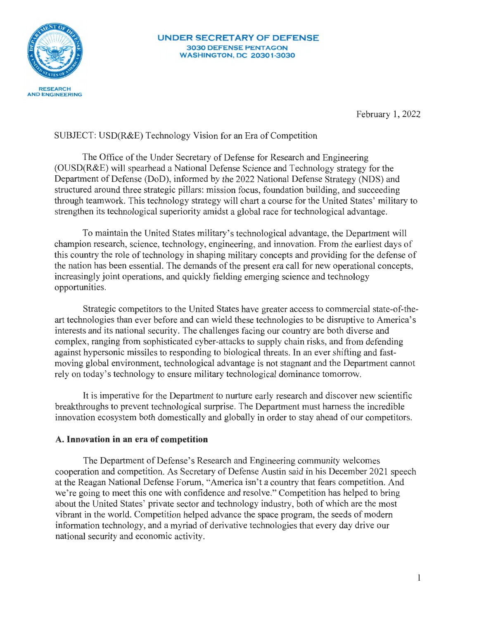

February 1, 2022

## SUBJECT: USD(R&E) Technology Vision for an Era of Competition

The Office of the Under Secretary of Defense for Research and Engineering (OUSD(R&E) will spearhead a National Defense Science and Technology strategy for the Department of Defense (DoD), informed by the 2022 National Defense Strategy (NDS) and structured around three strategic pillars: mission focus, foundation building, and succeeding through teamwork. This technology strategy will chart a course for the United States' military to strengthen its technological superiority amidst a global race for technological advantage.

To maintain the United States military's technological advantage, the Department will champion research, science, technology, engineering, and innovation. From the earliest days of this country the role of technology in shaping military concepts and providing for the defense of the nation has been essential. The demands of the present era call for new operational concepts, increasingly joint operations, and quickly fielding emerging science and technology opportunities.

Strategic competitors to the United States have greater access to commercial state-of-theart technologies than ever before and can wield these technologies to be disruptive to America's interests and its national security. The challenges facing our country are both diverse and complex, ranging from sophisticated cyber-attacks to supply chain risks, and from defending against hypersonic missiles to responding to biological threats. In an ever shifting and fastmoving global environment, technological advantage is not stagnant and the Department cannot rely on today's technology to ensure military technological dominance tomorrow.

It is imperative for the Department to nurture early research and discover new scientific breakthroughs to prevent technological surprise. The Department must harness the incredible innovation ecosystem both domestically and globally in order to stay ahead of our competitors.

### **A. Innovation in an era of competition**

The Department of Defense's Research and Engineering community welcomes cooperation and competition. As Secretary of Defense Austin said in his December 2021 speech at the Reagan National Defense Forum, "America isn't a country that fears competition. And we're going to meet this one with confidence and resolve." Competition has helped to bring about the United States' private sector and technology industry, both of which are the most vibrant in the world. Competition helped advance the space program, the seeds of modem information technology, and a myriad of derivative technologies that every day drive our national security and economic activity.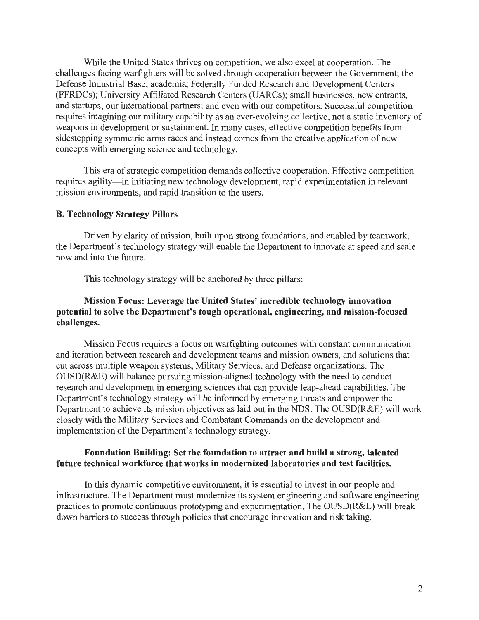While the United States thrives on competition, we also excel at cooperation. The challenges facing warfighters will be solved through cooperation between the Government; the Defense Industrial Base; academia; Federally Funded Research and Development Centers (FFRDCs); University Affiliated Research Centers (UARCs); small businesses, new entrants, and startups; our international partners; and even with our competitors. Successful competition requires imagining our military capability as an ever-evolving collective, not a static inventory of weapons in development or sustainment. In many cases, effective competition benefits from sidestepping symmetric arms races and instead comes from the creative application of new concepts with emerging science and technology.

This era of strategic competition demands collective cooperation. Effective competition requires agility—in initiating new technology development, rapid experimentation in relevant mission environments, and rapid transition to the users.

### **B. Technology Strategy Pillars**

Driven by clarity of mission, built upon strong foundations, and enabled by teamwork, the Department's technology strategy will enable the Department to innovate at speed and scale now and into the future.

This technology strategy will be anchored by three pillars:

## **Mission Focus: Leverage the United States' incredible technology innovation potential to solve the Department's tough operational, engineering, and mission-focused challenges.**

Mission Focus requires a focus on warfighting outcomes with constant communication and iteration between research and development teams and mission owners, and solutions that cut across multiple weapon systems, Military Services, and Defense organizations. The OUSD(R&E) will balance pursuing mission-aligned technology with the need to conduct research and development in emerging sciences that can provide leap-ahead capabilities. The Department's technology strategy will be informed by emerging threats and empower the Department to achieve its mission objectives as laid out in the NDS. The OUSD(R&E) will work closely with the Military Services and Combatant Commands on the development and implementation of the Department's technology strategy.

### **Foundation Building: Set the foundation to attract and build a strong, talented future technical workforce that works in modernized laboratories and test facilities.**

In this dynamic competitive environment, it is essential to invest in our people and infrastructure. The Department must modernize its system engineering and software engineering practices to promote continuous prototyping and experimentation. The OUSD(R&E) will break down barriers to success through policies that encourage innovation and risk taking.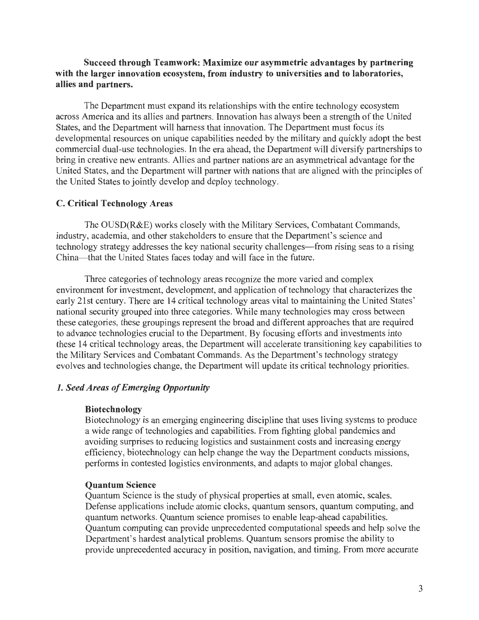## **Succeed through Teamwork: Maximize our asymmetric advantages by partnering with the larger innovation ecosystem, from industry to universities and to laboratories, allies and partners.**

The Department must expand its relationships with the entire technology ecosystem across America and its allies and partners. Innovation has always been a strength of the United States, and the Department will harness that innovation. The Department must focus its developmental resources on unique capabilities needed by the military and quickly adopt the best commercial dual-use technologies. In the era ahead, the Department will diversify partnerships to bring in creative new entrants. Allies and partner nations are an asymmetrical advantage for the United States, and the Department will partner with nations that are aligned with the principles of the United States to jointly develop and deploy technology.

## **C. Critical Technology Areas**

The OUSD(R&E) works closely with the Military Services, Combatant Commands, industry, academia, and other stakeholders to ensure that the Department's science and technology strategy addresses the key national security challenges—from rising seas to a rising China- that the United States faces today and will face in the future.

Three categories of technology areas recognize the more varied and complex environment for investment, development, and application of technology that characterizes the early 21st century. There are 14 critical technology areas vital to maintaining the United States' national security grouped into three categories. While many technologies may cross between these categories, these groupings represent the broad and different approaches that are required to advance technologies crucial to the Department. By focusing efforts and investments into these 14 critical technology areas, the Department will accelerate transitioning key capabilities to the Military Services and Combatant Commands. As the Department's technology strategy evolves and technologies change, the Department will update its critical technology priorities.

## **1.** *Seed Areas of Emerging Opportunity*

#### **Biotechnology**

Biotechnology is an emerging engineering discipline that uses living systems to produce a wide range of technologies and capabilities. From fighting global pandemics and avoiding surprises to reducing logistics and sustainment costs and increasing energy efficiency, biotechnology can help change the way the Department conducts missions, performs in contested logistics environments, and adapts to major global changes.

#### **Quantum Science**

Quantum Science is the study of physical properties at small, even atomic, scales. Defense applications include atomic clocks, quantum sensors, quantum computing, and quantum networks. Quantum science promises to enable leap-ahead capabilities. Quantum computing can provide unprecedented computational speeds and help solve the Department's hardest analytical problems. Quantum sensors promise the ability to provide unprecedented accuracy in position, navigation, and timing. From more accurate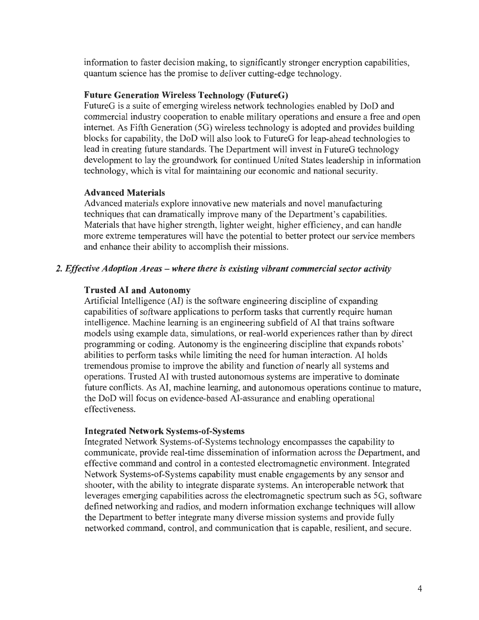information to faster decision making, to significantly stronger encryption capabilities, quantum science has the promise to deliver cutting-edge technology.

## **Future Generation Wireless Technology (FutureG)**

FutureG is a suite of emerging wireless network technologies enabled by DoD and commercial industry cooperation to enable military operations and ensure a free and open internet. As Fifth Generation (5G) wireless technology is adopted and provides building blocks for capability, the DoD will also look to FutureG for leap-ahead technologies to lead in creating future standards. The Department will invest in FutureG technology development to lay the groundwork for continued United States leadership in information technology, which is vital for maintaining our economic and national security.

# **Advanced Materials**

Advanced materials explore innovative new materials and novel manufacturing techniques that can dramatically improve many of the Department's capabilities. Materials that have higher strength, lighter weight, higher efficiency, and can handle more extreme temperatures will have the potential to better protect our service members and enhance their ability to accomplish their missions.

# *2. Effective Adoption Areas* - *where there is existing vibrant commercial sector activity*

# **Trusted AI and Autonomy**

Artificial Intelligence (Al) is the software engineering discipline of expanding capabilities of software applications to perform tasks that currently require human intelligence. Machine learning is an engineering subfield of AI that trains software models using example data, simulations, or real-world experiences rather than by direct programming or coding. Autonomy is the engineering discipline that expands robots' abilities to perform tasks while limiting the need for human interaction. AI holds tremendous promise to improve the ability and function of nearly all systems and operations. Trusted AI with trusted autonomous systems are imperative to dominate future conflicts. As AI, machine learning, and autonomous operations continue to mature, the DoD will focus on evidence-based AI-assurance and enabling operational effectiveness.

# **Integrated Network Systems-of-Systems**

Integrated Network Systems-of-Systems technology encompasses the capability to communicate, provide real-time dissemination of information across the Department, and effective command and control in a contested electromagnetic environment. Integrated Network Systems-of-Systems capability must enable engagements by any sensor and shooter, with the ability to integrate disparate systems. An interoperable network that leverages emerging capabilities across the electromagnetic spectrum such as 5G, software defined networking and radios, and modern information exchange techniques will allow the Department to better integrate many diverse mission systems and provide fully networked command, control, and communication that is capable, resilient, and secure.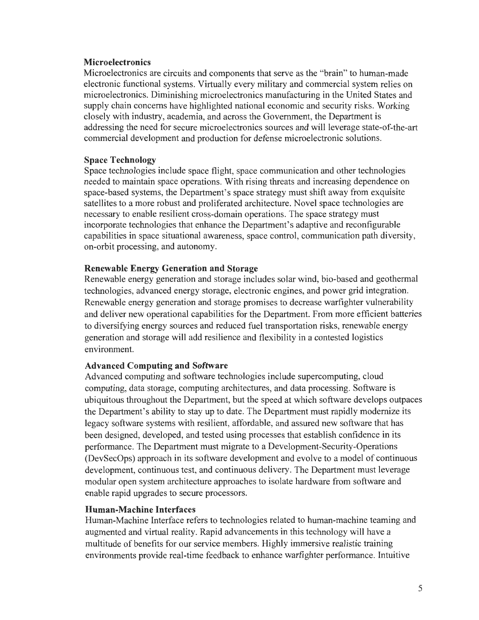### **Microelectronics**

Microelectronics are circuits and components that serve as the "brain" to human-made electronic functional systems. Virtually every military and commercial system relies on microelectronics. Diminishing microelectronics manufacturing in the United States and supply chain concerns have highlighted national economic and security risks. Working closely with industry, academia, and across the Government, the Department is addressing the need for secure microelectronics sources and will leverage state-of-the-art commercial development and production for defense microelectronic solutions.

### **Space Technology**

Space technologies include space flight, space communication and other technologies needed to maintain space operations. With rising threats and increasing dependence on space-based systems, the Department's space strategy must shift away from exquisite satellites to a more robust and proliferated architecture. Novel space technologies are necessary to enable resilient cross-domain operations. The space strategy must incorporate technologies that enhance the Department's adaptive and reconfigurable capabilities in space situational awareness, space control, communication path diversity, on-orbit processing, and autonomy.

## **Renewable Energy Generation and Storage**

Renewable energy generation and storage includes solar wind, bio-based and geothermal technologies, advanced energy storage, electronic engines, and power grid integration. Renewable energy generation and storage promises to decrease warfighter vulnerability and deliver new operational capabilities for the Department. From more efficient batteries to diversifying energy sources and reduced fuel transportation risks, renewable energy generation and storage will add resilience and flexibility in a contested logistics environment.

### **Advanced Computing and Software**

Advanced computing and software technologies include supercomputing, cloud computing, data storage, computing architectures, and data processing. Software is ubiquitous throughout the Department, but the speed at which software develops outpaces the Department's ability to stay up to date. The Department must rapidly modernize its legacy software systems with resilient, affordable, and assured new software that has been designed, developed, and tested using processes that establish confidence in its performance. The Department must migrate to a Development-Security-Operations (DevSecOps) approach in its software development and evolve to a model of continuous development, continuous test, and continuous delivery. The Department must leverage modular open system architecture approaches to isolate hardware from software and enable rapid upgrades to secure processors.

### **Human-Machine Interfaces**

Human-Machine Interface refers to technologies related to human-machine teaming and augmented and virtual reality. Rapid advancements in this technology will have a multitude of benefits for our service members. Highly immersive realistic training environments provide real-time feedback to enhance warfighter performance. Intuitive